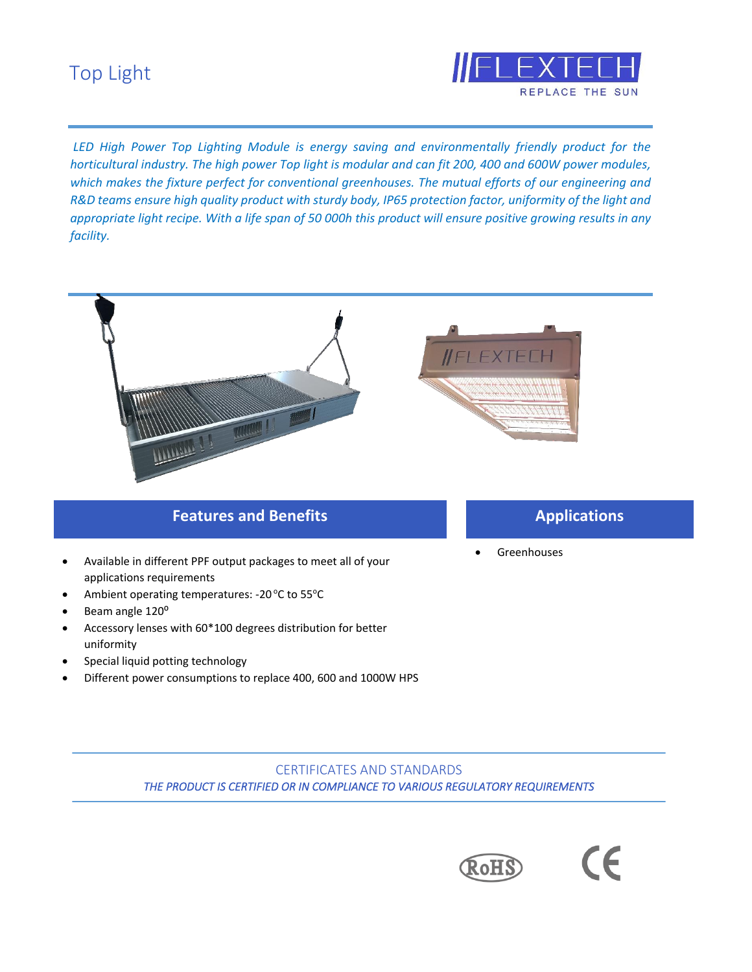# Top Light



*LED High Power Top Lighting Module is energy saving and environmentally friendly product for the horticultural industry. The high power Top light is modular and can fit 200, 400 and 600W power modules, which makes the fixture perfect for conventional greenhouses. The mutual efforts of our engineering and R&D teams ensure high quality product with sturdy body, IP65 protection factor, uniformity of the light and appropriate light recipe. With a life span of 50 000h this product will ensure positive growing results in any facility.*



## **Features and Benefits**

- Available in different PPF output packages to meet all of your applications requirements
- Ambient operating temperatures: -20 °C to 55°C
- Beam angle 120°
- Accessory lenses with 60\*100 degrees distribution for better uniformity
- Special liquid potting technology
- Different power consumptions to replace 400, 600 and 1000W HPS

### **Applications**

 $\epsilon$ 

• Greenhouses

#### CERTIFICATES AND STANDARDS *THE PRODUCT IS CERTIFIED OR IN COMPLIANCE TO VARIOUS REGULATORY REQUIREMENTS*

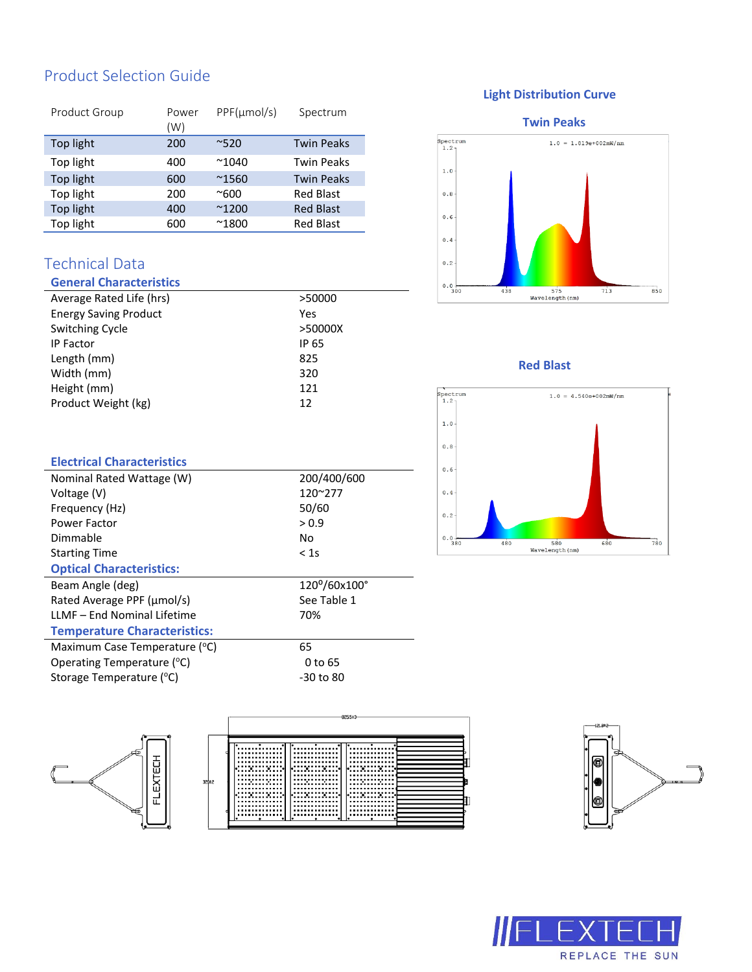# Product Selection Guide

| Product Group | Power<br>(W) | $PPF(\mu mol/s)$ | Spectrum          |
|---------------|--------------|------------------|-------------------|
| Top light     | 200          | ~520             | <b>Twin Peaks</b> |
| Top light     | 400          | $^{\sim}1040$    | <b>Twin Peaks</b> |
| Top light     | 600          | $^{\sim}$ 1560   | <b>Twin Peaks</b> |
| Top light     | 200          | $^{\sim}600$     | <b>Red Blast</b>  |
| Top light     | 400          | $^{\sim}$ 1200   | <b>Red Blast</b>  |
| Top light     | 600          | $^{\sim}$ 1800   | <b>Red Blast</b>  |

## Technical Data

| <b>General Characteristics</b> |         |
|--------------------------------|---------|
| Average Rated Life (hrs)       | >50000  |
| <b>Energy Saving Product</b>   | Yes     |
| <b>Switching Cycle</b>         | >50000X |
| <b>IP Factor</b>               | IP 65   |
| Length (mm)                    | 825     |
| Width (mm)                     | 320     |
| Height (mm)                    | 121     |
| Product Weight (kg)            | 12      |

#### **Light Distribution Curve**

#### **Twin Peaks**



#### **Red Blast**



| <b>Electrical Characteristics</b>   |              |
|-------------------------------------|--------------|
| Nominal Rated Wattage (W)           | 200/400/600  |
| Voltage (V)                         | 120~277      |
| Frequency (Hz)                      | 50/60        |
| Power Factor                        | > 0.9        |
| Dimmable                            | No           |
| <b>Starting Time</b>                | < 1s         |
| <b>Optical Characteristics:</b>     |              |
| Beam Angle (deg)                    | 120°/60x100° |
| Rated Average PPF (µmol/s)          | See Table 1  |
| LLMF - End Nominal Lifetime         | 70%          |
| <b>Temperature Characteristics:</b> |              |
| Maximum Case Temperature (°C)       | 65           |
| Operating Temperature (°C)          | 0 to 65      |
| Storage Temperature (°C)            | -30 to 80    |